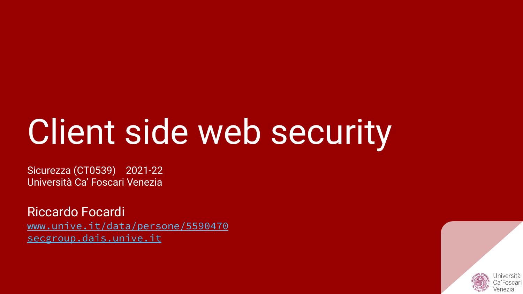# Client side web security

Sicurezza (CT0539) 2021-22 Università Ca' Foscari Venezia

Riccardo Focardi [www.unive.it/data/persone/5590470](https://www.unive.it/data/persone/5590470) [secgroup.dais.unive.it](https://secgroup.dais.unive.it/teaching/security-1/)

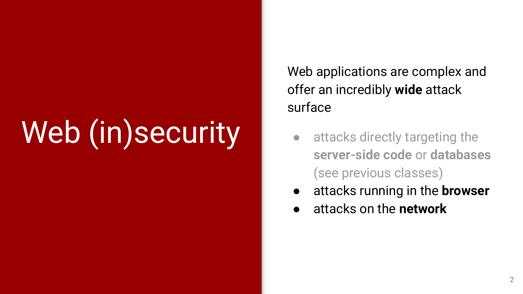# Web (in)security

Web applications are complex and offer an incredibly **wide** attack surface

- attacks directly targeting the **server-side code** or **databases** (see previous classes)
- attacks running in the **browser**
- attacks on the **network**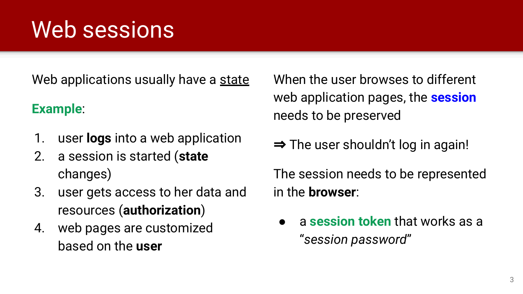### Web sessions

Web applications usually have a state

### **Example**:

- 1. user **logs** into a web application
- 2. a session is started (**state** changes)
- 3. user gets access to her data and resources (**authorization**)
- 4. web pages are customized based on the **user**

When the user browses to different web application pages, the **session** needs to be preserved

⇒ The user shouldn't log in again!

The session needs to be represented in the **browser**:

**●** a **session token** that works as a "*session password*"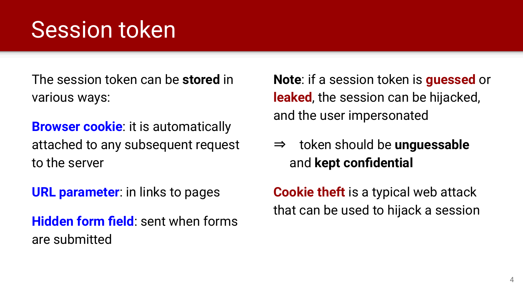### Session token

The session token can be **stored** in various ways:

**Browser cookie:** it is automatically attached to any subsequent request to the server

**URL parameter**: in links to pages

**Hidden form field**: sent when forms are submitted

**Note**: if a session token is **guessed** or **leaked**, the session can be hijacked, and the user impersonated

⇒ token should be **unguessable** and **kept confidential**

**Cookie theft** is a typical web attack that can be used to hijack a session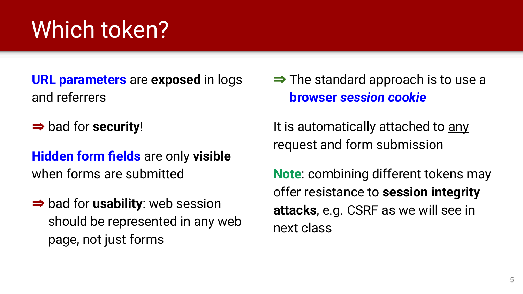### Which token?

**URL parameters** are **exposed** in logs and referrers

⇒ bad for **security**!

**Hidden form fields** are only **visible** when forms are submitted

⇒ bad for **usability**: web session should be represented in any web page, not just forms

 $\Rightarrow$  The standard approach is to use a **browser** *session cookie*

It is automatically attached to any request and form submission

**Note**: combining different tokens may offer resistance to **session integrity attacks**, e.g. CSRF as we will see in next class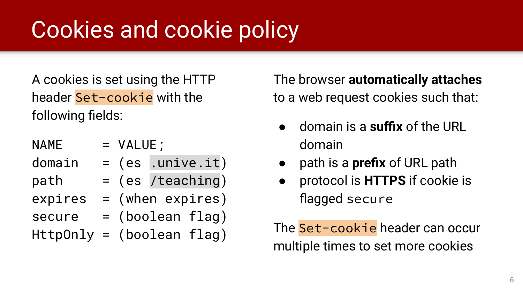### Cookies and cookie policy

A cookies is set using the HTTP header Set-cookie with the following fields:

| <b>NAME</b> | = VALUE;                    |
|-------------|-----------------------------|
| domain      | $= (es$ .unive.it)          |
| path        | $=$ (es /teaching)          |
| expires     | $=$ (when expires)          |
| secure      | $=$ (boolean flag)          |
|             | $HttpOnly = (boolean flag)$ |
|             |                             |

The browser **automatically attaches** to a web request cookies such that:

- domain is a **suffix** of the URL domain
- path is a **prefix** of URL path
- protocol is **HTTPS** if cookie is flagged secure

The Set-cookie header can occur multiple times to set more cookies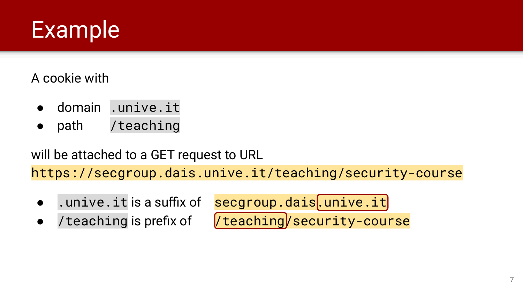

A cookie with

- domain .unive.it
- path /teaching

will be attached to a GET request to URL

https://secgroup.dais.unive.it/teaching/security-course

- .unive.it is a suffix of secgroup.dais.unive.it
- 

● /teaching is prefix of /teaching/security-course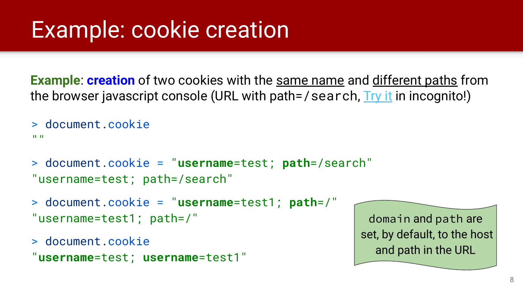### Example: cookie creation

**Example: creation** of two cookies with the same name and different paths from the browser javascript console (URL with path=/search, [Try it](https://secgroup.dais.unive.it/search/) in incognito!)

```
> document.cookie
^{\rm II-H}
```

```
> document.cookie = "username=test; path=/search"
"username=test; path=/search"
```

```
> document.cookie = "username=test1; path=/"
"username=test1; path=/"
```

```
> document.cookie
"username=test; username=test1"
```
domain and path are set, by default, to the host and path in the URL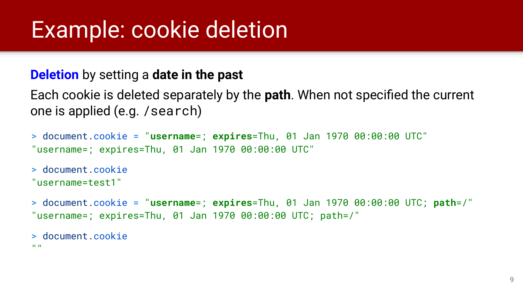### Example: cookie deletion

#### **Deletion** by setting a **date in the past**

Each cookie is deleted separately by the **path**. When not specified the current one is applied (e.g. /search)

```
> document.cookie = "username=; expires=Thu, 01 Jan 1970 00:00:00 UTC"
"username=; expires=Thu, 01 Jan 1970 00:00:00 UTC"
```

```
> document.cookie
"username=test1"
```
> document.cookie = "**username**=; **expires**=Thu, 01 Jan 1970 00:00:00 UTC; **path**=/" "username=; expires=Thu, 01 Jan 1970 00:00:00 UTC; path=/"

```
> document.cookie
```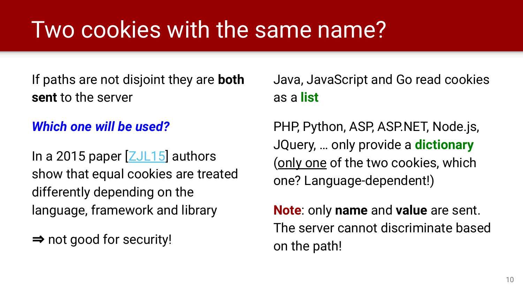### Two cookies with the same name?

If paths are not disjoint they are **both sent** to the server

#### *Which one will be used?*

In a 2015 paper  $ZJL15$  authors show that equal cookies are treated differently depending on the language, framework and library

⇒ not good for security!

Java, JavaScript and Go read cookies as a **list**

PHP, Python, ASP, ASP.NET, Node.js, JQuery, … only provide a **dictionary** (only one of the two cookies, which one? Language-dependent!)

**Note**: only **name** and **value** are sent. The server cannot discriminate based on the path!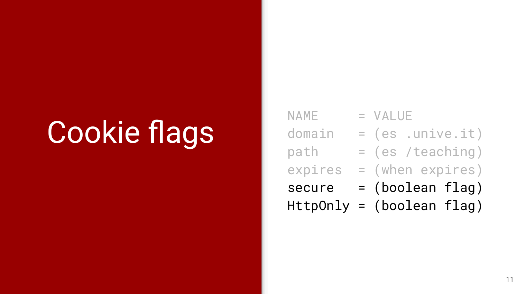## Cookie flags

|             | $HttpOnly = (boolean flag)$ |
|-------------|-----------------------------|
| secure      | $=$ (boolean flag)          |
| expires     | = (when expires)            |
| path        | = (es /teaching)            |
| domain      | $= (es .unive.it)$          |
| <b>NAME</b> | $=$ VALUE                   |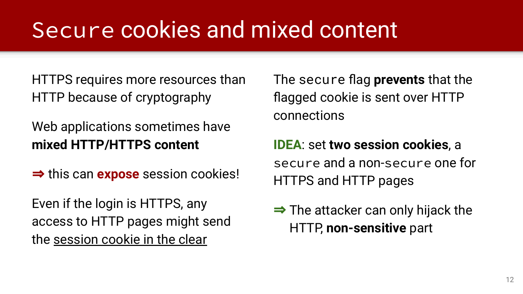### Secure cookies and mixed content

HTTPS requires more resources than HTTP because of cryptography

Web applications sometimes have **mixed HTTP/HTTPS content**

⇒ this can **expose** session cookies!

Even if the login is HTTPS, any access to HTTP pages might send the session cookie in the clear

The secure flag **prevents** that the flagged cookie is sent over HTTP connections

**IDEA**: set **two session cookies**, a secure and a non-secure one for HTTPS and HTTP pages

 $\Rightarrow$  The attacker can only hijack the HTTP, **non-sensitive** part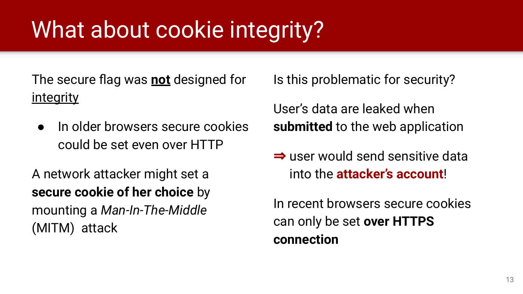### What about cookie integrity?

The secure flag was **not** designed for integrity

● In older browsers secure cookies could be set even over HTTP

A network attacker might set a **secure cookie of her choice** by mounting a *Man-In-The-Middle* (MITM) attack

Is this problematic for security?

User's data are leaked when **submitted** to the web application

⇒ user would send sensitive data into the **attacker's account**!

In recent browsers secure cookies can only be set **over HTTPS connection**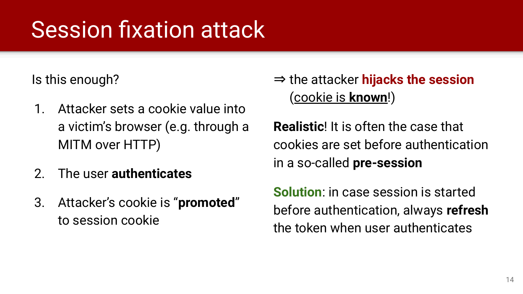### Session fixation attack

Is this enough?

- 1. Attacker sets a cookie value into a victim's browser (e.g. through a MITM over HTTP)
- 2. The user **authenticates**
- 3. Attacker's cookie is "**promoted**" to session cookie

⇒ the attacker **hijacks the session**  (cookie is **known**!)

**Realistic**! It is often the case that cookies are set before authentication in a so-called **pre-session**

**Solution**: in case session is started before authentication, always **refresh** the token when user authenticates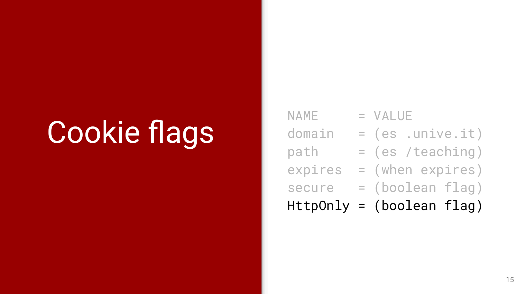## Cookie flags

| <b>NAME</b> | $=$ VALUE                   |
|-------------|-----------------------------|
| domain      | $= (es .unive.it)$          |
| path        | $= (es /teaching)$          |
| expires     | $=$ (when expires)          |
| secure      | $=$ (boolean flag)          |
|             | $HttpOnly = (boolean flag)$ |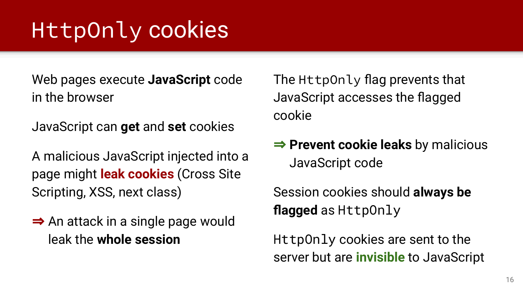### HttpOnly cookies

Web pages execute **JavaScript** code in the browser

JavaScript can **get** and **set** cookies

A malicious JavaScript injected into a page might **leak cookies** (Cross Site Scripting, XSS, next class)

⇒ An attack in a single page would leak the **whole session**

The HttpOnly flag prevents that JavaScript accesses the flagged cookie

⇒ **Prevent cookie leaks** by malicious JavaScript code

Session cookies should **always be flagged** as HttpOnly

HttpOnly cookies are sent to the server but are **invisible** to JavaScript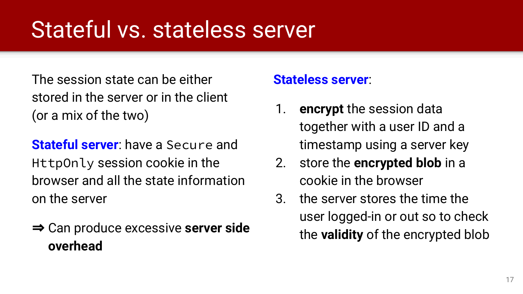### Stateful vs. stateless server

The session state can be either stored in the server or in the client (or a mix of the two)

**Stateful server**: have a Secure and HttpOnly session cookie in the browser and all the state information on the server

⇒ Can produce excessive **server side overhead**

#### **Stateless server**:

- 1. **encrypt** the session data together with a user ID and a timestamp using a server key
- 2. store the **encrypted blob** in a cookie in the browser
- 3. the server stores the time the user logged-in or out so to check the **validity** of the encrypted blob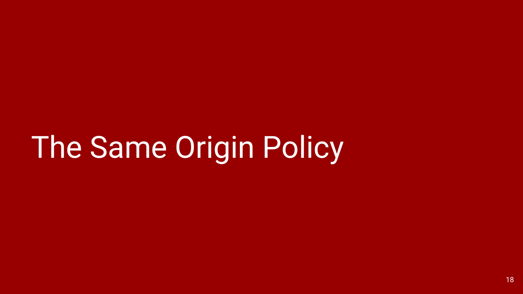## The Same Origin Policy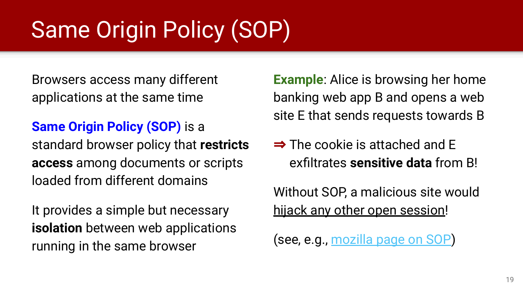## Same Origin Policy (SOP)

Browsers access many different applications at the same time

**Same Origin Policy (SOP)** is a standard browser policy that **restricts access** among documents or scripts loaded from different domains

It provides a simple but necessary **isolation** between web applications running in the same browser

**Example**: Alice is browsing her home banking web app B and opens a web site E that sends requests towards B

 $\Rightarrow$  The cookie is attached and E exfiltrates **sensitive data** from B!

Without SOP, a malicious site would hijack any other open session!

(see, e.g., [mozilla page on SOP](https://developer.mozilla.org/en-US/docs/Web/Security/Same-origin_policy))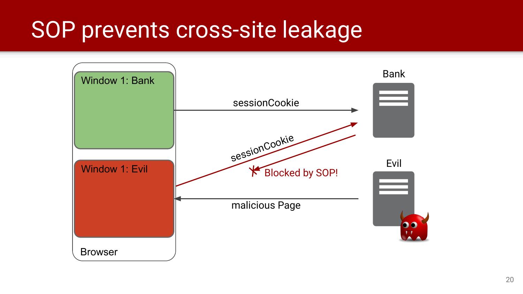### SOP prevents cross-site leakage

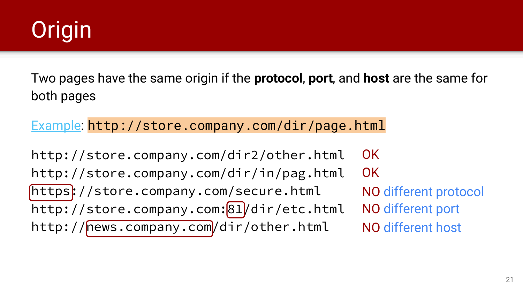

Two pages have the same origin if the **protocol**, **port**, and **host** are the same for both pages

[Example:](https://developer.mozilla.org/en-US/docs/Web/Security/Same-origin_policy) http://store.company.com/dir/page.html

http://store.company.com/dir2/other.html http://store.company.com/dir/in/pag.html https://store.company.com/secure.html http://store.company.com:81/dir/etc.html http://news.company.com/dir/other.html OK OK NO different protocol NO different port NO different host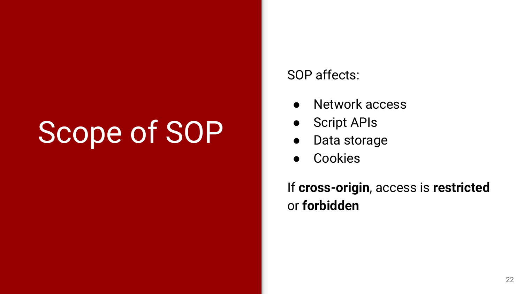## Scope of SOP

#### SOP affects:

- Network access
- Script APIs
- Data storage
- **Cookies**

If **cross-origin**, access is **restricted** or **forbidden**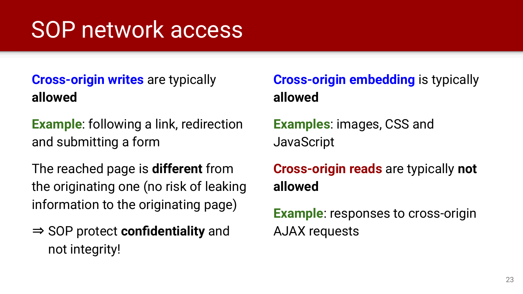### SOP network access

### **Cross-origin writes** are typically **allowed**

**Example**: following a link, redirection and submitting a form

The reached page is **different** from the originating one (no risk of leaking information to the originating page)

⇒ SOP protect **confidentiality** and not integrity!

### **Cross-origin embedding** is typically **allowed**

**Examples**: images, CSS and JavaScript

**Cross-origin reads** are typically **not allowed**

**Example:** responses to cross-origin AJAX requests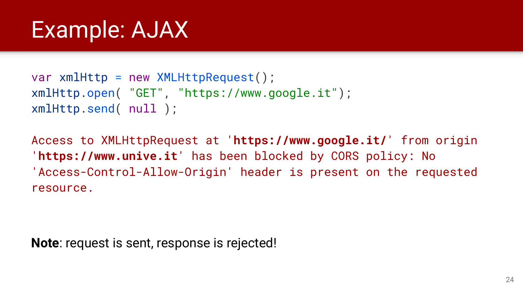### Example: AJAX

```
var xmlHttp = new XMLHttpRequest();
xmlHttp.open( "GET", "https://www.google.it");
xmlHttp.send( null );
```
Access to XMLHttpRequest at '**https://www.google.it/**' from origin '**https://www.unive.it**' has been blocked by CORS policy: No 'Access-Control-Allow-Origin' header is present on the requested resource.

**Note**: request is sent, response is rejected!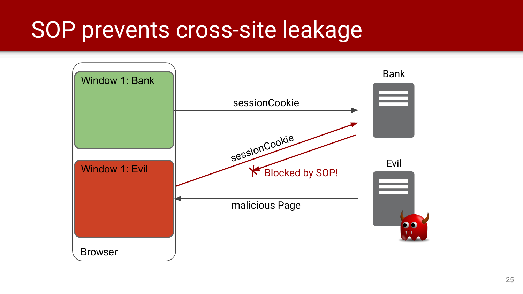### SOP prevents cross-site leakage

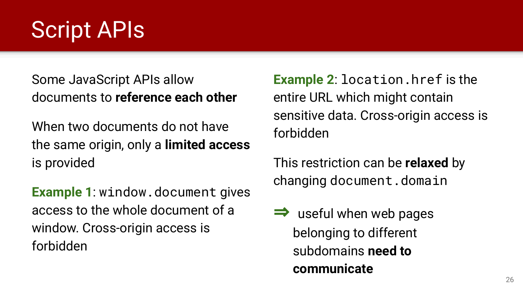### Script APIs

Some JavaScript APIs allow documents to **reference each other**

When two documents do not have the same origin, only a **limited access** is provided

**Example 1**: window.document gives access to the whole document of a window. Cross-origin access is forbidden

**Example 2**: location.href is the entire URL which might contain sensitive data. Cross-origin access is forbidden

This restriction can be **relaxed** by changing document.domain

useful when web pages belonging to different subdomains **need to communicate**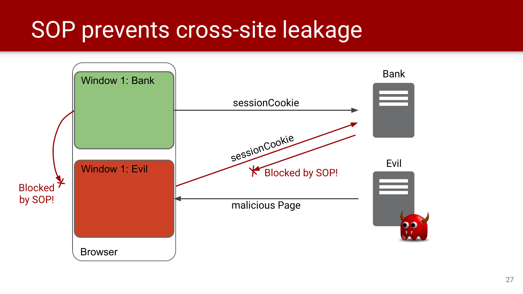### SOP prevents cross-site leakage

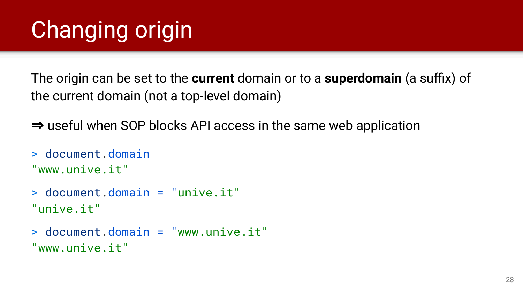## Changing origin

The origin can be set to the **current** domain or to a **superdomain** (a suffix) of the current domain (not a top-level domain)

⇒ useful when SOP blocks API access in the same web application

> document.domain "www.unive.it"

> document.domain = "unive.it" "unive.it"

> document.domain = "www.unive.it" "www.unive.it"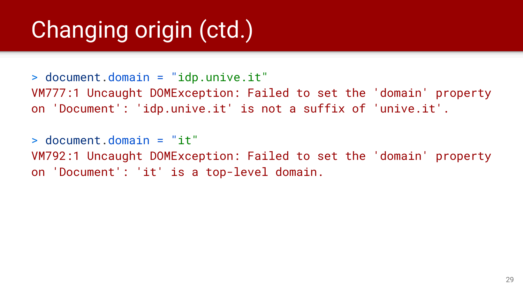## Changing origin (ctd.)

> document.domain = "idp.unive.it" VM777:1 Uncaught DOMException: Failed to set the 'domain' property on 'Document': 'idp.unive.it' is not a suffix of 'unive.it'.

> document.domain = "it" VM792:1 Uncaught DOMException: Failed to set the 'domain' property on 'Document': 'it' is a top-level domain.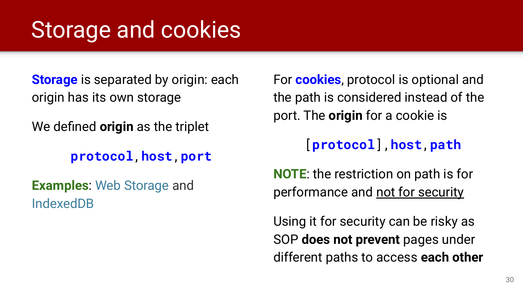### Storage and cookies

**Storage** is separated by origin: each origin has its own storage

We defined **origin** as the triplet

**protocol**,**host**,**port**

**Examples**: [Web Storage](https://developer.mozilla.org/en-US/docs/Web/API/Web_Storage_API) and [IndexedDB](https://developer.mozilla.org/en-US/docs/Web/API/IndexedDB_API)

For **cookies**, protocol is optional and the path is considered instead of the port. The **origin** for a cookie is

### [**protocol**],**host**,**path**

**NOTE**: the restriction on path is for performance and not for security

Using it for security can be risky as SOP **does not prevent** pages under different paths to access **each other**